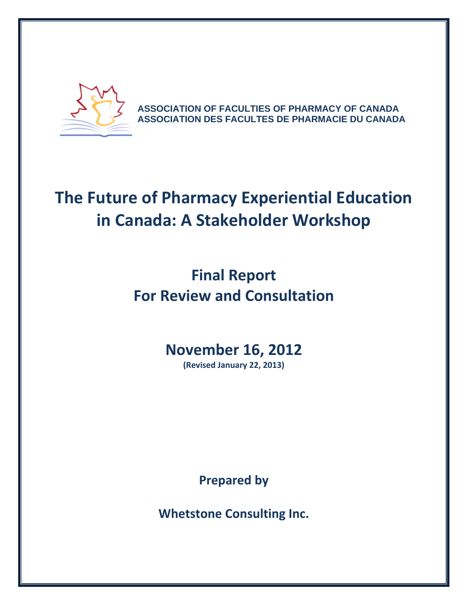

**ASSOCIATION OF FACULTIES OF PHARMACY OF CANADA ASSOCIATION DES FACULTES DE PHARMACIE DU CANADA**

# **The Future of Pharmacy Experiential Education in Canada: A Stakeholder Workshop**

# **Final Report For Review and Consultation**

# **November 16, 2012**

**(Revised January 22, 2013)**

**Prepared by**

**Whetstone Consulting Inc.**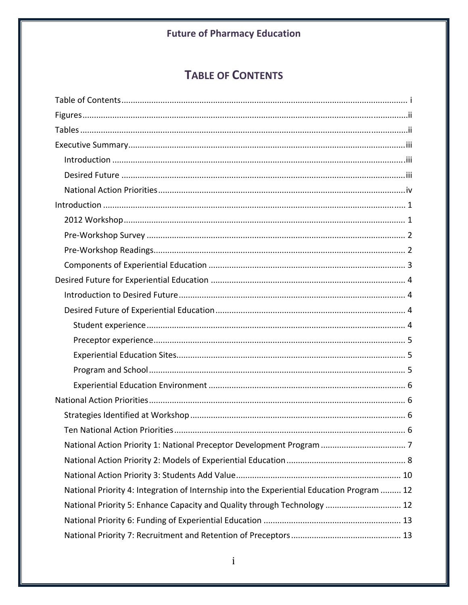# **TABLE OF CONTENTS**

| National Priority 4: Integration of Internship into the Experiential Education Program  12 |
|--------------------------------------------------------------------------------------------|
| National Priority 5: Enhance Capacity and Quality through Technology  12                   |
|                                                                                            |
|                                                                                            |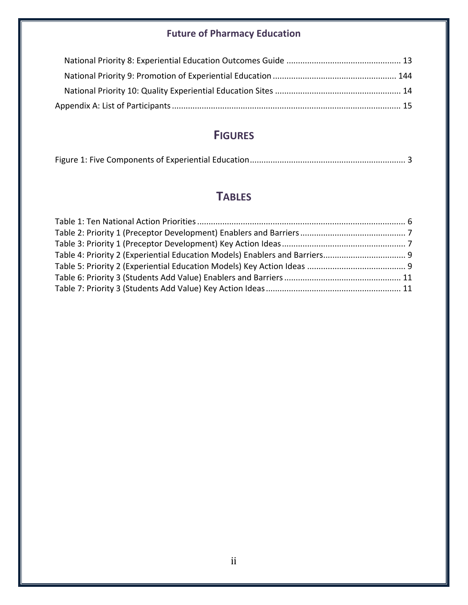# **FIGURES**

|--|

# **TABLES**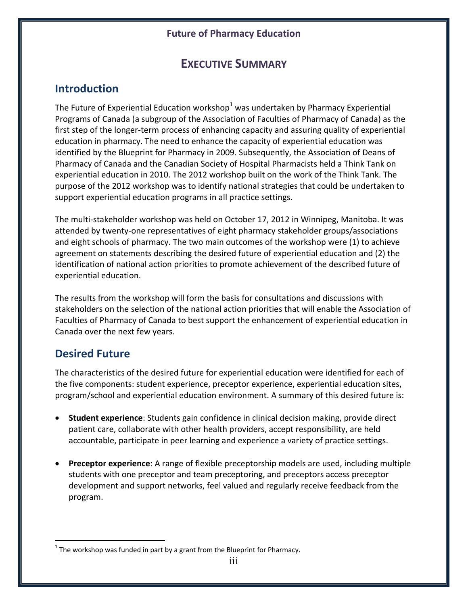# **EXECUTIVE SUMMARY**

# **Introduction**

The Future of Experiential Education workshop $1$  was undertaken by Pharmacy Experiential Programs of Canada (a subgroup of the Association of Faculties of Pharmacy of Canada) as the first step of the longer-term process of enhancing capacity and assuring quality of experiential education in pharmacy. The need to enhance the capacity of experiential education was identified by the Blueprint for Pharmacy in 2009. Subsequently, the Association of Deans of Pharmacy of Canada and the Canadian Society of Hospital Pharmacists held a Think Tank on experiential education in 2010. The 2012 workshop built on the work of the Think Tank. The purpose of the 2012 workshop was to identify national strategies that could be undertaken to support experiential education programs in all practice settings.

The multi‐stakeholder workshop was held on October 17, 2012 in Winnipeg, Manitoba. It was attended by twenty‐one representatives of eight pharmacy stakeholder groups/associations and eight schools of pharmacy. The two main outcomes of the workshop were (1) to achieve agreement on statements describing the desired future of experiential education and (2) the identification of national action priorities to promote achievement of the described future of experiential education.

The results from the workshop will form the basis for consultations and discussions with stakeholders on the selection of the national action priorities that will enable the Association of Faculties of Pharmacy of Canada to best support the enhancement of experiential education in Canada over the next few years.

# **Desired Future**

The characteristics of the desired future for experiential education were identified for each of the five components: student experience, preceptor experience, experiential education sites, program/school and experiential education environment. A summary of this desired future is:

- **Student experience**: Students gain confidence in clinical decision making, provide direct patient care, collaborate with other health providers, accept responsibility, are held accountable, participate in peer learning and experience a variety of practice settings.
- **Preceptor experience**: A range of flexible preceptorship models are used, including multiple students with one preceptor and team preceptoring, and preceptors access preceptor development and support networks, feel valued and regularly receive feedback from the program.

 $1$  The workshop was funded in part by a grant from the Blueprint for Pharmacy.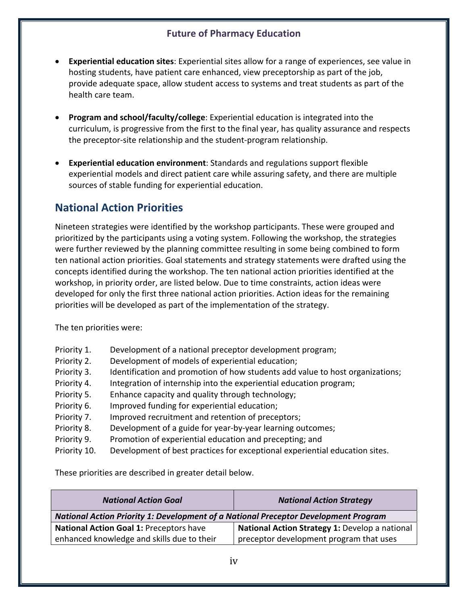- **Experiential education sites**: Experiential sites allow for a range of experiences, see value in hosting students, have patient care enhanced, view preceptorship as part of the job, provide adequate space, allow student access to systems and treat students as part of the health care team.
- **Program and school/faculty/college**: Experiential education is integrated into the curriculum, is progressive from the first to the final year, has quality assurance and respects the preceptor‐site relationship and the student‐program relationship.
- **Experiential education environment**: Standards and regulations support flexible experiential models and direct patient care while assuring safety, and there are multiple sources of stable funding for experiential education.

# **National Action Priorities**

Nineteen strategies were identified by the workshop participants. These were grouped and prioritized by the participants using a voting system. Following the workshop, the strategies were further reviewed by the planning committee resulting in some being combined to form ten national action priorities. Goal statements and strategy statements were drafted using the concepts identified during the workshop. The ten national action priorities identified at the workshop, in priority order, are listed below. Due to time constraints, action ideas were developed for only the first three national action priorities. Action ideas for the remaining priorities will be developed as part of the implementation of the strategy.

The ten priorities were:

| Priority 1. | Development of a national preceptor development program; |  |  |
|-------------|----------------------------------------------------------|--|--|
|-------------|----------------------------------------------------------|--|--|

- Priority 2. Development of models of experiential education;
- Priority 3. Identification and promotion of how students add value to host organizations;
- Priority 4. Integration of internship into the experiential education program;
- Priority 5. Enhance capacity and quality through technology;
- Priority 6. Improved funding for experiential education;
- Priority 7. Improved recruitment and retention of preceptors;
- Priority 8. Development of a guide for year-by-year learning outcomes;
- Priority 9. Promotion of experiential education and precepting; and
- Priority 10. Development of best practices for exceptional experiential education sites.

These priorities are described in greater detail below.

| <b>National Action Goal</b>                                                         | <b>National Action Strategy</b>                |  |  |
|-------------------------------------------------------------------------------------|------------------------------------------------|--|--|
| National Action Priority 1: Development of a National Preceptor Development Program |                                                |  |  |
| <b>National Action Goal 1: Preceptors have</b>                                      | National Action Strategy 1: Develop a national |  |  |
| enhanced knowledge and skills due to their                                          | preceptor development program that uses        |  |  |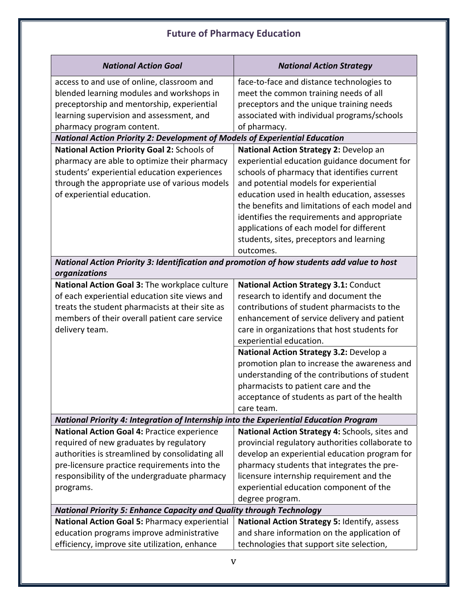| <b>National Action Goal</b>                                                                                                                                                                                                                            | <b>National Action Strategy</b>                                                                                                                                                                                                                                                                                                                                                                                                      |
|--------------------------------------------------------------------------------------------------------------------------------------------------------------------------------------------------------------------------------------------------------|--------------------------------------------------------------------------------------------------------------------------------------------------------------------------------------------------------------------------------------------------------------------------------------------------------------------------------------------------------------------------------------------------------------------------------------|
| access to and use of online, classroom and<br>blended learning modules and workshops in<br>preceptorship and mentorship, experiential<br>learning supervision and assessment, and<br>pharmacy program content.                                         | face-to-face and distance technologies to<br>meet the common training needs of all<br>preceptors and the unique training needs<br>associated with individual programs/schools<br>of pharmacy.                                                                                                                                                                                                                                        |
| <b>National Action Priority 2: Development of Models of Experiential Education</b>                                                                                                                                                                     |                                                                                                                                                                                                                                                                                                                                                                                                                                      |
| National Action Priority Goal 2: Schools of<br>pharmacy are able to optimize their pharmacy<br>students' experiential education experiences<br>through the appropriate use of various models<br>of experiential education.                             | National Action Strategy 2: Develop an<br>experiential education guidance document for<br>schools of pharmacy that identifies current<br>and potential models for experiential<br>education used in health education, assesses<br>the benefits and limitations of each model and<br>identifies the requirements and appropriate<br>applications of each model for different<br>students, sites, preceptors and learning<br>outcomes. |
| National Action Priority 3: Identification and promotion of how students add value to host                                                                                                                                                             |                                                                                                                                                                                                                                                                                                                                                                                                                                      |
| organizations<br>National Action Goal 3: The workplace culture                                                                                                                                                                                         | National Action Strategy 3.1: Conduct                                                                                                                                                                                                                                                                                                                                                                                                |
| of each experiential education site views and<br>treats the student pharmacists at their site as<br>members of their overall patient care service<br>delivery team.                                                                                    | research to identify and document the<br>contributions of student pharmacists to the<br>enhancement of service delivery and patient<br>care in organizations that host students for<br>experiential education.                                                                                                                                                                                                                       |
|                                                                                                                                                                                                                                                        | National Action Strategy 3.2: Develop a<br>promotion plan to increase the awareness and<br>understanding of the contributions of student<br>pharmacists to patient care and the<br>acceptance of students as part of the health<br>care team.                                                                                                                                                                                        |
| National Priority 4: Integration of Internship into the Experiential Education Program                                                                                                                                                                 |                                                                                                                                                                                                                                                                                                                                                                                                                                      |
| National Action Goal 4: Practice experience<br>required of new graduates by regulatory<br>authorities is streamlined by consolidating all<br>pre-licensure practice requirements into the<br>responsibility of the undergraduate pharmacy<br>programs. | National Action Strategy 4: Schools, sites and<br>provincial regulatory authorities collaborate to<br>develop an experiential education program for<br>pharmacy students that integrates the pre-<br>licensure internship requirement and the<br>experiential education component of the<br>degree program.                                                                                                                          |
| <b>National Priority 5: Enhance Capacity and Quality through Technology</b>                                                                                                                                                                            |                                                                                                                                                                                                                                                                                                                                                                                                                                      |
| National Action Goal 5: Pharmacy experiential<br>education programs improve administrative<br>efficiency, improve site utilization, enhance                                                                                                            | National Action Strategy 5: Identify, assess<br>and share information on the application of<br>technologies that support site selection,                                                                                                                                                                                                                                                                                             |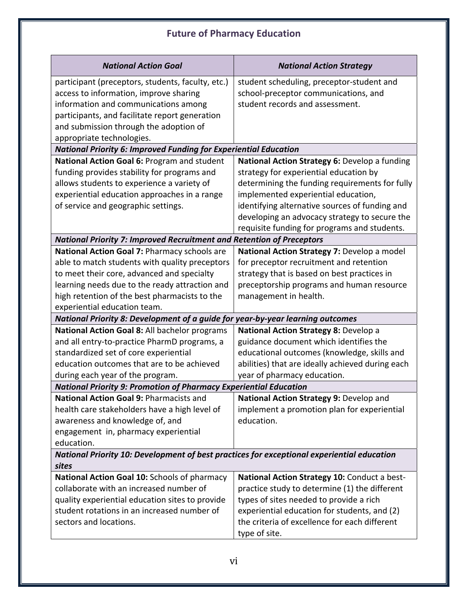| <b>National Action Goal</b>                                                                | <b>National Action Strategy</b>                  |  |  |
|--------------------------------------------------------------------------------------------|--------------------------------------------------|--|--|
| participant (preceptors, students, faculty, etc.)                                          | student scheduling, preceptor-student and        |  |  |
| access to information, improve sharing                                                     | school-preceptor communications, and             |  |  |
| information and communications among                                                       | student records and assessment.                  |  |  |
| participants, and facilitate report generation                                             |                                                  |  |  |
| and submission through the adoption of                                                     |                                                  |  |  |
| appropriate technologies.                                                                  |                                                  |  |  |
| <b>National Priority 6: Improved Funding for Experiential Education</b>                    |                                                  |  |  |
| National Action Goal 6: Program and student                                                | National Action Strategy 6: Develop a funding    |  |  |
| funding provides stability for programs and                                                | strategy for experiential education by           |  |  |
| allows students to experience a variety of                                                 | determining the funding requirements for fully   |  |  |
| experiential education approaches in a range                                               | implemented experiential education,              |  |  |
| of service and geographic settings.                                                        | identifying alternative sources of funding and   |  |  |
|                                                                                            | developing an advocacy strategy to secure the    |  |  |
|                                                                                            | requisite funding for programs and students.     |  |  |
| <b>National Priority 7: Improved Recruitment and Retention of Preceptors</b>               |                                                  |  |  |
| National Action Goal 7: Pharmacy schools are                                               | National Action Strategy 7: Develop a model      |  |  |
| able to match students with quality preceptors                                             | for preceptor recruitment and retention          |  |  |
| to meet their core, advanced and specialty                                                 | strategy that is based on best practices in      |  |  |
| learning needs due to the ready attraction and                                             | preceptorship programs and human resource        |  |  |
| high retention of the best pharmacists to the                                              | management in health.                            |  |  |
| experiential education team.                                                               |                                                  |  |  |
| National Priority 8: Development of a guide for year-by-year learning outcomes             |                                                  |  |  |
| National Action Goal 8: All bachelor programs                                              | National Action Strategy 8: Develop a            |  |  |
| and all entry-to-practice PharmD programs, a                                               | guidance document which identifies the           |  |  |
| standardized set of core experiential                                                      | educational outcomes (knowledge, skills and      |  |  |
| education outcomes that are to be achieved                                                 | abilities) that are ideally achieved during each |  |  |
| during each year of the program.                                                           | year of pharmacy education.                      |  |  |
| <b>National Priority 9: Promotion of Pharmacy Experiential Education</b>                   |                                                  |  |  |
| National Action Goal 9: Pharmacists and                                                    | National Action Strategy 9: Develop and          |  |  |
| health care stakeholders have a high level of                                              | implement a promotion plan for experiential      |  |  |
| awareness and knowledge of, and                                                            | education.                                       |  |  |
| engagement in, pharmacy experiential                                                       |                                                  |  |  |
| education.                                                                                 |                                                  |  |  |
| National Priority 10: Development of best practices for exceptional experiential education |                                                  |  |  |
| sites                                                                                      |                                                  |  |  |
| National Action Goal 10: Schools of pharmacy                                               | National Action Strategy 10: Conduct a best-     |  |  |
| collaborate with an increased number of                                                    | practice study to determine (1) the different    |  |  |
| quality experiential education sites to provide                                            | types of sites needed to provide a rich          |  |  |
| student rotations in an increased number of                                                | experiential education for students, and (2)     |  |  |
| sectors and locations.                                                                     | the criteria of excellence for each different    |  |  |
|                                                                                            | type of site.                                    |  |  |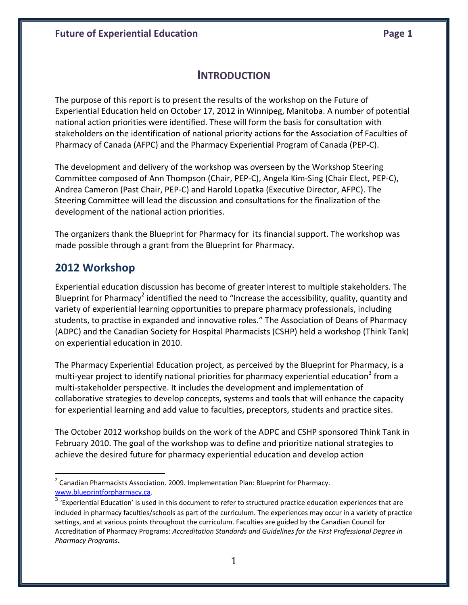#### **INTRODUCTION**

The purpose of this report is to present the results of the workshop on the Future of Experiential Education held on October 17, 2012 in Winnipeg, Manitoba. A number of potential national action priorities were identified. These will form the basis for consultation with stakeholders on the identification of national priority actions for the Association of Faculties of Pharmacy of Canada (AFPC) and the Pharmacy Experiential Program of Canada (PEP‐C).

The development and delivery of the workshop was overseen by the Workshop Steering Committee composed of Ann Thompson (Chair, PEP‐C), Angela Kim‐Sing (Chair Elect, PEP‐C), Andrea Cameron (Past Chair, PEP‐C) and Harold Lopatka (Executive Director, AFPC). The Steering Committee will lead the discussion and consultations for the finalization of the development of the national action priorities.

The organizers thank the Blueprint for Pharmacy for its financial support. The workshop was made possible through a grant from the Blueprint for Pharmacy.

#### **2012 Workshop**

Experiential education discussion has become of greater interest to multiple stakeholders. The Blueprint for Pharmacy<sup>2</sup> identified the need to "Increase the accessibility, quality, quantity and variety of experiential learning opportunities to prepare pharmacy professionals, including students, to practise in expanded and innovative roles." The Association of Deans of Pharmacy (ADPC) and the Canadian Society for Hospital Pharmacists (CSHP) held a workshop (Think Tank) on experiential education in 2010.

The Pharmacy Experiential Education project, as perceived by the Blueprint for Pharmacy, is a multi-year project to identify national priorities for pharmacy experiential education<sup>3</sup> from a multi‐stakeholder perspective. It includes the development and implementation of collaborative strategies to develop concepts, systems and tools that will enhance the capacity for experiential learning and add value to faculties, preceptors, students and practice sites.

The October 2012 workshop builds on the work of the ADPC and CSHP sponsored Think Tank in February 2010. The goal of the workshop was to define and prioritize national strategies to achieve the desired future for pharmacy experiential education and develop action

 $2$  Canadian Pharmacists Association. 2009. Implementation Plan: Blueprint for Pharmacy. www.blueprintforpharmacy.ca.

 $3$  'Experiential Education' is used in this document to refer to structured practice education experiences that are included in pharmacy faculties/schools as part of the curriculum. The experiences may occur in a variety of practice settings, and at various points throughout the curriculum. Faculties are guided by the Canadian Council for Accreditation of Pharmacy Programs: *Accreditation Standards and Guidelines for the First Professional Degree in Pharmacy Programs***.**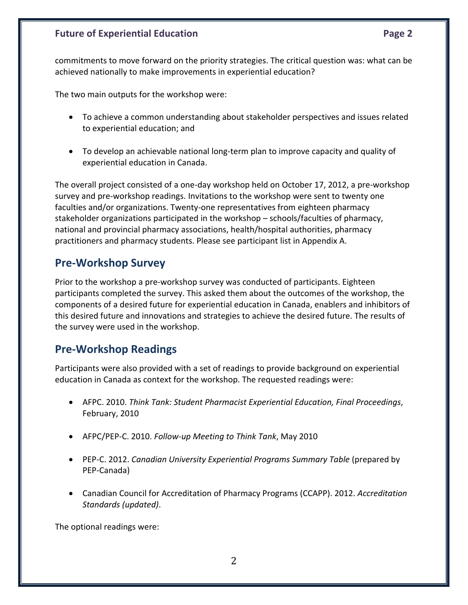commitments to move forward on the priority strategies. The critical question was: what can be achieved nationally to make improvements in experiential education?

The two main outputs for the workshop were:

- To achieve a common understanding about stakeholder perspectives and issues related to experiential education; and
- To develop an achievable national long‐term plan to improve capacity and quality of experiential education in Canada.

The overall project consisted of a one‐day workshop held on October 17, 2012, a pre‐workshop survey and pre‐workshop readings. Invitations to the workshop were sent to twenty one faculties and/or organizations. Twenty‐one representatives from eighteen pharmacy stakeholder organizations participated in the workshop – schools/faculties of pharmacy, national and provincial pharmacy associations, health/hospital authorities, pharmacy practitioners and pharmacy students. Please see participant list in Appendix A.

### **Pre‐Workshop Survey**

Prior to the workshop a pre‐workshop survey was conducted of participants. Eighteen participants completed the survey. This asked them about the outcomes of the workshop, the components of a desired future for experiential education in Canada, enablers and inhibitors of this desired future and innovations and strategies to achieve the desired future. The results of the survey were used in the workshop.

# **Pre‐Workshop Readings**

Participants were also provided with a set of readings to provide background on experiential education in Canada as context for the workshop. The requested readings were:

- AFPC. 2010. *Think Tank: Student Pharmacist Experiential Education, Final Proceedings*, February, 2010
- AFPC/PEP‐C. 2010. *Follow‐up Meeting to Think Tank*, May 2010
- PEP‐C. 2012. *Canadian University Experiential Programs Summary Table* (prepared by PEP‐Canada)
- Canadian Council for Accreditation of Pharmacy Programs (CCAPP). 2012. *Accreditation Standards (updated)*.

The optional readings were: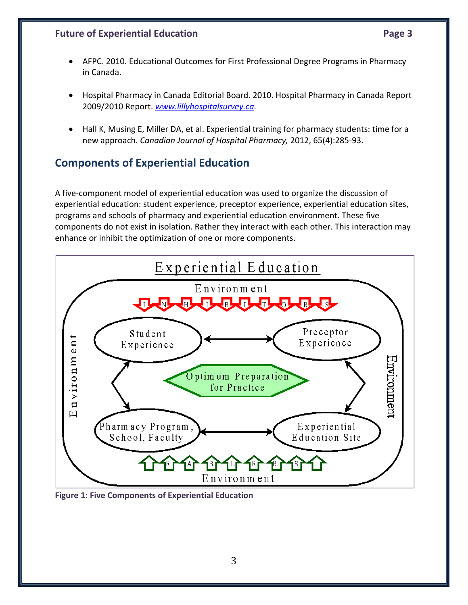- AFPC. 2010. Educational Outcomes for First Professional Degree Programs in Pharmacy in Canada.
- Hospital Pharmacy in Canada Editorial Board. 2010. Hospital Pharmacy in Canada Report 2009/2010 Report. *www.lillyhospitalsurvey.ca.*
- Hall K, Musing E, Miller DA, et al. Experiential training for pharmacy students: time for a new approach. *Canadian Journal of Hospital Pharmacy,* 2012, 65(4):285‐93.

# **Components of Experiential Education**

A five‐component model of experiential education was used to organize the discussion of experiential education: student experience, preceptor experience, experiential education sites, programs and schools of pharmacy and experiential education environment. These five components do not exist in isolation. Rather they interact with each other. This interaction may enhance or inhibit the optimization of one or more components.



**Figure 1: Five Components of Experiential Education**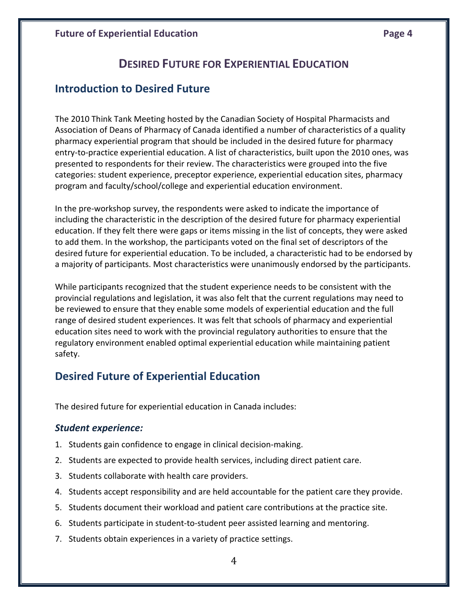# **DESIRED FUTURE FOR EXPERIENTIAL EDUCATION**

#### **Introduction to Desired Future**

The 2010 Think Tank Meeting hosted by the Canadian Society of Hospital Pharmacists and Association of Deans of Pharmacy of Canada identified a number of characteristics of a quality pharmacy experiential program that should be included in the desired future for pharmacy entry-to-practice experiential education. A list of characteristics, built upon the 2010 ones, was presented to respondents for their review. The characteristics were grouped into the five categories: student experience, preceptor experience, experiential education sites, pharmacy program and faculty/school/college and experiential education environment.

In the pre‐workshop survey, the respondents were asked to indicate the importance of including the characteristic in the description of the desired future for pharmacy experiential education. If they felt there were gaps or items missing in the list of concepts, they were asked to add them. In the workshop, the participants voted on the final set of descriptors of the desired future for experiential education. To be included, a characteristic had to be endorsed by a majority of participants. Most characteristics were unanimously endorsed by the participants.

While participants recognized that the student experience needs to be consistent with the provincial regulations and legislation, it was also felt that the current regulations may need to be reviewed to ensure that they enable some models of experiential education and the full range of desired student experiences. It was felt that schools of pharmacy and experiential education sites need to work with the provincial regulatory authorities to ensure that the regulatory environment enabled optimal experiential education while maintaining patient safety.

# **Desired Future of Experiential Education**

The desired future for experiential education in Canada includes:

#### *Student experience:*

- 1. Students gain confidence to engage in clinical decision‐making.
- 2. Students are expected to provide health services, including direct patient care.
- 3. Students collaborate with health care providers.
- 4. Students accept responsibility and are held accountable for the patient care they provide.
- 5. Students document their workload and patient care contributions at the practice site.
- 6. Students participate in student‐to‐student peer assisted learning and mentoring.
- 7. Students obtain experiences in a variety of practice settings.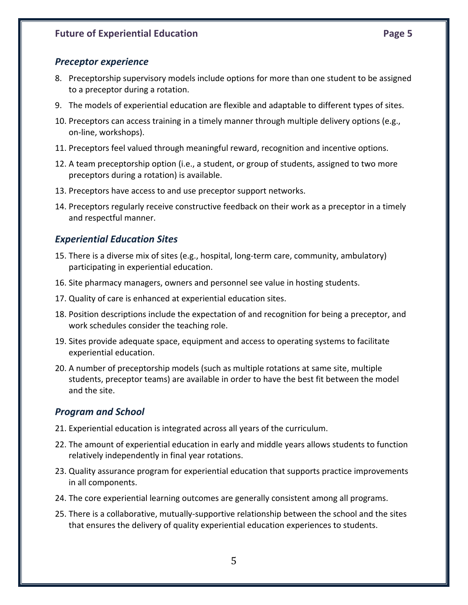- 8. Preceptorship supervisory models include options for more than one student to be assigned to a preceptor during a rotation.
- 9. The models of experiential education are flexible and adaptable to different types of sites.
- 10. Preceptors can access training in a timely manner through multiple delivery options (e.g., on‐line, workshops).
- 11. Preceptors feel valued through meaningful reward, recognition and incentive options.
- 12. A team preceptorship option (i.e., a student, or group of students, assigned to two more preceptors during a rotation) is available.
- 13. Preceptors have access to and use preceptor support networks.
- 14. Preceptors regularly receive constructive feedback on their work as a preceptor in a timely and respectful manner.

#### *Experiential Education Sites*

- 15. There is a diverse mix of sites (e.g., hospital, long‐term care, community, ambulatory) participating in experiential education.
- 16. Site pharmacy managers, owners and personnel see value in hosting students.
- 17. Quality of care is enhanced at experiential education sites.
- 18. Position descriptions include the expectation of and recognition for being a preceptor, and work schedules consider the teaching role.
- 19. Sites provide adequate space, equipment and access to operating systems to facilitate experiential education.
- 20. A number of preceptorship models (such as multiple rotations at same site, multiple students, preceptor teams) are available in order to have the best fit between the model and the site.

#### *Program and School*

- 21. Experiential education is integrated across all years of the curriculum.
- 22. The amount of experiential education in early and middle years allows students to function relatively independently in final year rotations.
- 23. Quality assurance program for experiential education that supports practice improvements in all components.
- 24. The core experiential learning outcomes are generally consistent among all programs.
- 25. There is a collaborative, mutually‐supportive relationship between the school and the sites that ensures the delivery of quality experiential education experiences to students.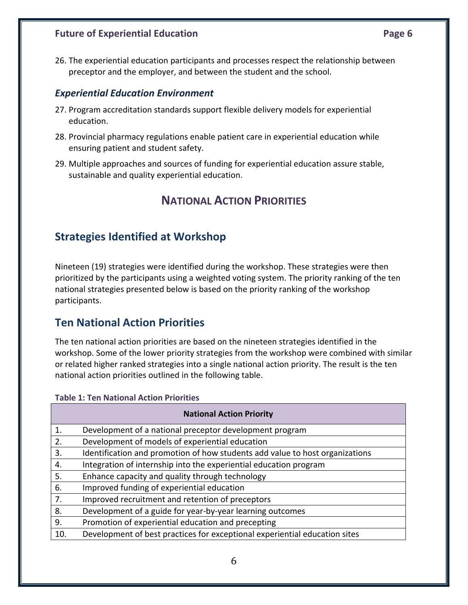26. The experiential education participants and processes respect the relationship between preceptor and the employer, and between the student and the school.

#### *Experiential Education Environment*

- 27. Program accreditation standards support flexible delivery models for experiential education.
- 28. Provincial pharmacy regulations enable patient care in experiential education while ensuring patient and student safety.
- 29. Multiple approaches and sources of funding for experiential education assure stable, sustainable and quality experiential education.

#### **NATIONAL ACTION PRIORITIES**

### **Strategies Identified at Workshop**

Nineteen (19) strategies were identified during the workshop. These strategies were then prioritized by the participants using a weighted voting system. The priority ranking of the ten national strategies presented below is based on the priority ranking of the workshop participants.

#### **Ten National Action Priorities**

The ten national action priorities are based on the nineteen strategies identified in the workshop. Some of the lower priority strategies from the workshop were combined with similar or related higher ranked strategies into a single national action priority. The result is the ten national action priorities outlined in the following table.

#### **Table 1: Ten National Action Priorities**

| <b>National Action Priority</b> |                                                                              |  |  |
|---------------------------------|------------------------------------------------------------------------------|--|--|
| 1.                              | Development of a national preceptor development program                      |  |  |
| 2.                              | Development of models of experiential education                              |  |  |
| 3.                              | Identification and promotion of how students add value to host organizations |  |  |
| 4.                              | Integration of internship into the experiential education program            |  |  |
| 5.                              | Enhance capacity and quality through technology                              |  |  |
| 6.                              | Improved funding of experiential education                                   |  |  |
| 7.                              | Improved recruitment and retention of preceptors                             |  |  |
| 8.                              | Development of a guide for year-by-year learning outcomes                    |  |  |
| 9.                              | Promotion of experiential education and precepting                           |  |  |
| 10.                             | Development of best practices for exceptional experiential education sites   |  |  |
|                                 |                                                                              |  |  |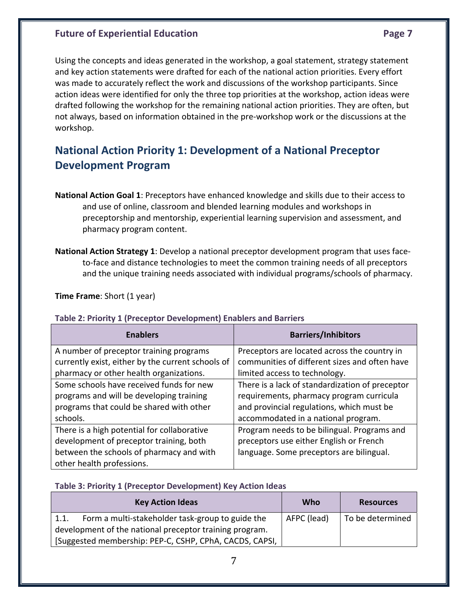Using the concepts and ideas generated in the workshop, a goal statement, strategy statement and key action statements were drafted for each of the national action priorities. Every effort was made to accurately reflect the work and discussions of the workshop participants. Since action ideas were identified for only the three top priorities at the workshop, action ideas were drafted following the workshop for the remaining national action priorities. They are often, but not always, based on information obtained in the pre‐workshop work or the discussions at the workshop.

# **National Action Priority 1: Development of a National Preceptor Development Program**

- **National Action Goal 1**: Preceptors have enhanced knowledge and skills due to their access to and use of online, classroom and blended learning modules and workshops in preceptorship and mentorship, experiential learning supervision and assessment, and pharmacy program content.
- **National Action Strategy 1**: Develop a national preceptor development program that uses face‐ to-face and distance technologies to meet the common training needs of all preceptors and the unique training needs associated with individual programs/schools of pharmacy.

**Time Frame**: Short (1 year)

#### **Table 2: Priority 1 (Preceptor Development) Enablers and Barriers**

| <b>Enablers</b>                                   | <b>Barriers/Inhibitors</b>                      |
|---------------------------------------------------|-------------------------------------------------|
| A number of preceptor training programs           | Preceptors are located across the country in    |
| currently exist, either by the current schools of | communities of different sizes and often have   |
| pharmacy or other health organizations.           | limited access to technology.                   |
| Some schools have received funds for new          | There is a lack of standardization of preceptor |
| programs and will be developing training          | requirements, pharmacy program curricula        |
| programs that could be shared with other          | and provincial regulations, which must be       |
| schools.                                          | accommodated in a national program.             |
| There is a high potential for collaborative       | Program needs to be bilingual. Programs and     |
| development of preceptor training, both           | preceptors use either English or French         |
| between the schools of pharmacy and with          | language. Some preceptors are bilingual.        |
| other health professions.                         |                                                 |

#### **Table 3: Priority 1 (Preceptor Development) Key Action Ideas**

|      | <b>Key Action Ideas</b>                                 | Who         | <b>Resources</b> |
|------|---------------------------------------------------------|-------------|------------------|
| 1.1. | Form a multi-stakeholder task-group to guide the        | AFPC (lead) | To be determined |
|      | development of the national preceptor training program. |             |                  |
|      | [Suggested membership: PEP-C, CSHP, CPhA, CACDS, CAPSI, |             |                  |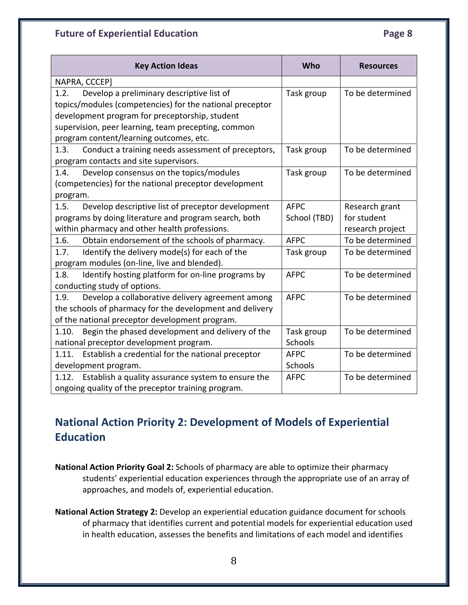| <b>Key Action Ideas</b>                                     | Who          | <b>Resources</b> |
|-------------------------------------------------------------|--------------|------------------|
| NAPRA, CCCEP]                                               |              |                  |
| Develop a preliminary descriptive list of<br>1.2.           | Task group   | To be determined |
| topics/modules (competencies) for the national preceptor    |              |                  |
| development program for preceptorship, student              |              |                  |
| supervision, peer learning, team precepting, common         |              |                  |
| program content/learning outcomes, etc.                     |              |                  |
| Conduct a training needs assessment of preceptors,<br>1.3.  | Task group   | To be determined |
| program contacts and site supervisors.                      |              |                  |
| Develop consensus on the topics/modules<br>1.4.             | Task group   | To be determined |
| (competencies) for the national preceptor development       |              |                  |
| program.                                                    |              |                  |
| Develop descriptive list of preceptor development<br>1.5.   | <b>AFPC</b>  | Research grant   |
| programs by doing literature and program search, both       | School (TBD) | for student      |
| within pharmacy and other health professions.               |              | research project |
| 1.6.<br>Obtain endorsement of the schools of pharmacy.      | <b>AFPC</b>  | To be determined |
| Identify the delivery mode(s) for each of the<br>1.7.       | Task group   | To be determined |
| program modules (on-line, live and blended).                |              |                  |
| 1.8.<br>Identify hosting platform for on-line programs by   | <b>AFPC</b>  | To be determined |
| conducting study of options.                                |              |                  |
| Develop a collaborative delivery agreement among<br>1.9.    | <b>AFPC</b>  | To be determined |
| the schools of pharmacy for the development and delivery    |              |                  |
| of the national preceptor development program.              |              |                  |
| Begin the phased development and delivery of the<br>1.10.   | Task group   | To be determined |
| national preceptor development program.                     | Schools      |                  |
| 1.11.<br>Establish a credential for the national preceptor  | <b>AFPC</b>  | To be determined |
| development program.                                        | Schools      |                  |
| 1.12.<br>Establish a quality assurance system to ensure the | <b>AFPC</b>  | To be determined |
| ongoing quality of the preceptor training program.          |              |                  |

# **National Action Priority 2: Development of Models of Experiential Education**

- **National Action Priority Goal 2:** Schools of pharmacy are able to optimize their pharmacy students' experiential education experiences through the appropriate use of an array of approaches, and models of, experiential education.
- **National Action Strategy 2:** Develop an experiential education guidance document for schools of pharmacy that identifies current and potential models for experiential education used in health education, assesses the benefits and limitations of each model and identifies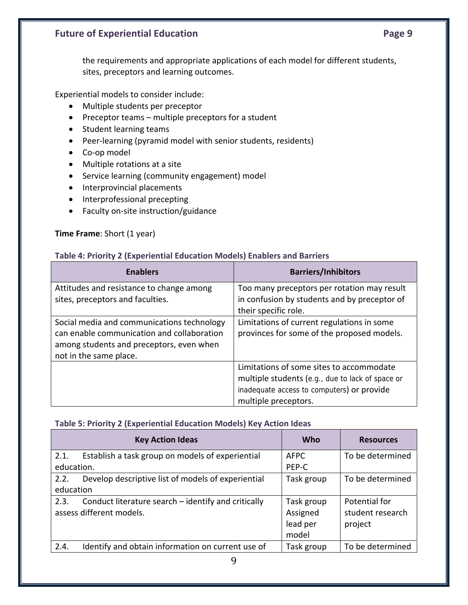Experiential models to consider include:

- Multiple students per preceptor
- Preceptor teams multiple preceptors for a student
- Student learning teams
- Peer‐learning (pyramid model with senior students, residents)
- Co‐op model
- Multiple rotations at a site
- Service learning (community engagement) model
- Interprovincial placements
- Interprofessional precepting
- Faculty on‐site instruction/guidance

#### **Time Frame**: Short (1 year)

#### **Table 4: Priority 2 (Experiential Education Models) Enablers and Barriers**

| <b>Enablers</b>                                                                                                                                                | <b>Barriers/Inhibitors</b>                                                                                                                                         |
|----------------------------------------------------------------------------------------------------------------------------------------------------------------|--------------------------------------------------------------------------------------------------------------------------------------------------------------------|
| Attitudes and resistance to change among<br>sites, preceptors and faculties.                                                                                   | Too many preceptors per rotation may result<br>in confusion by students and by preceptor of<br>their specific role.                                                |
| Social media and communications technology<br>can enable communication and collaboration<br>among students and preceptors, even when<br>not in the same place. | Limitations of current regulations in some<br>provinces for some of the proposed models.                                                                           |
|                                                                                                                                                                | Limitations of some sites to accommodate<br>multiple students (e.g., due to lack of space or<br>inadequate access to computers) or provide<br>multiple preceptors. |

#### **Table 5: Priority 2 (Experiential Education Models) Key Action Ideas**

|                    | <b>Key Action Ideas</b>                                                         | <b>Who</b>                                  | <b>Resources</b>                             |
|--------------------|---------------------------------------------------------------------------------|---------------------------------------------|----------------------------------------------|
| 2.1.<br>education. | Establish a task group on models of experiential                                | <b>AFPC</b><br>PEP-C                        | To be determined                             |
| 2.2.<br>education  | Develop descriptive list of models of experiential                              | Task group                                  | To be determined                             |
| 2.3.               | Conduct literature search – identify and critically<br>assess different models. | Task group<br>Assigned<br>lead per<br>model | Potential for<br>student research<br>project |
| 2.4.               | Identify and obtain information on current use of                               | Task group                                  | To be determined                             |

9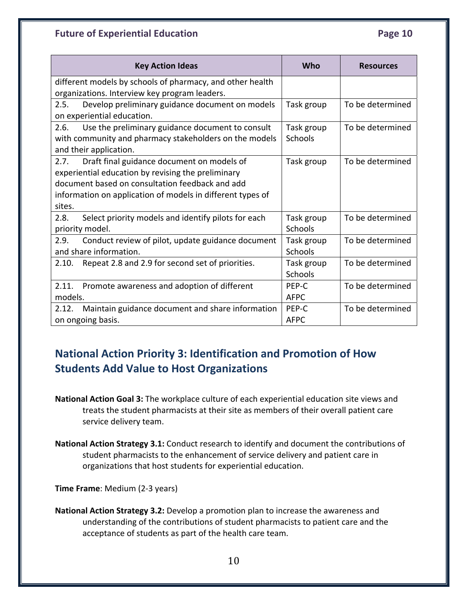| <b>Key Action Ideas</b>                                     | Who         | <b>Resources</b> |
|-------------------------------------------------------------|-------------|------------------|
| different models by schools of pharmacy, and other health   |             |                  |
| organizations. Interview key program leaders.               |             |                  |
| Develop preliminary guidance document on models<br>2.5.     | Task group  | To be determined |
| on experiential education.                                  |             |                  |
| Use the preliminary guidance document to consult<br>2.6.    | Task group  | To be determined |
| with community and pharmacy stakeholders on the models      | Schools     |                  |
| and their application.                                      |             |                  |
| Draft final guidance document on models of<br>2.7.          | Task group  | To be determined |
| experiential education by revising the preliminary          |             |                  |
| document based on consultation feedback and add             |             |                  |
| information on application of models in different types of  |             |                  |
| sites.                                                      |             |                  |
| 2.8.<br>Select priority models and identify pilots for each | Task group  | To be determined |
| priority model.                                             | Schools     |                  |
| 2.9.<br>Conduct review of pilot, update guidance document   | Task group  | To be determined |
| and share information.                                      | Schools     |                  |
| Repeat 2.8 and 2.9 for second set of priorities.<br>2.10.   | Task group  | To be determined |
|                                                             | Schools     |                  |
| Promote awareness and adoption of different<br>2.11.        | PEP-C       | To be determined |
| models.                                                     | <b>AFPC</b> |                  |
| Maintain guidance document and share information<br>2.12.   | PEP-C       | To be determined |
| on ongoing basis.                                           | <b>AFPC</b> |                  |

# **National Action Priority 3: Identification and Promotion of How Students Add Value to Host Organizations**

- **National Action Goal 3:** The workplace culture of each experiential education site views and treats the student pharmacists at their site as members of their overall patient care service delivery team.
- **National Action Strategy 3.1:** Conduct research to identify and document the contributions of student pharmacists to the enhancement of service delivery and patient care in organizations that host students for experiential education.

**Time Frame**: Medium (2‐3 years)

**National Action Strategy 3.2:** Develop a promotion plan to increase the awareness and understanding of the contributions of student pharmacists to patient care and the acceptance of students as part of the health care team.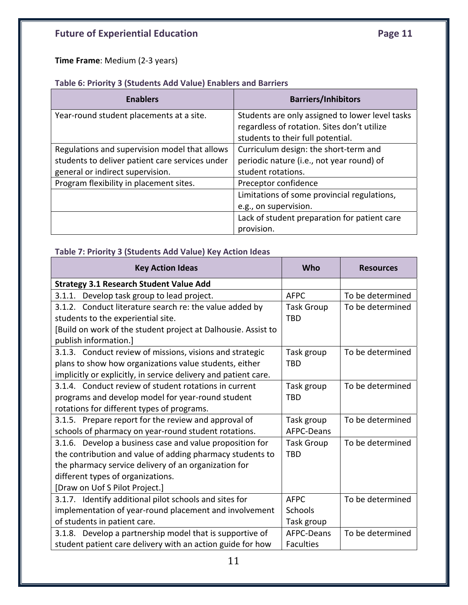**Time Frame**: Medium (2‐3 years)

#### **Table 6: Priority 3 (Students Add Value) Enablers and Barriers**

| <b>Enablers</b>                                 | <b>Barriers/Inhibitors</b>                      |
|-------------------------------------------------|-------------------------------------------------|
| Year-round student placements at a site.        | Students are only assigned to lower level tasks |
|                                                 | regardless of rotation. Sites don't utilize     |
|                                                 | students to their full potential.               |
| Regulations and supervision model that allows   | Curriculum design: the short-term and           |
| students to deliver patient care services under | periodic nature (i.e., not year round) of       |
| general or indirect supervision.                | student rotations.                              |
| Program flexibility in placement sites.         | Preceptor confidence                            |
|                                                 | Limitations of some provincial regulations,     |
|                                                 | e.g., on supervision.                           |
|                                                 | Lack of student preparation for patient care    |
|                                                 | provision.                                      |

#### **Table 7: Priority 3 (Students Add Value) Key Action Ideas**

| <b>Key Action Ideas</b>                                         | Who               | <b>Resources</b> |
|-----------------------------------------------------------------|-------------------|------------------|
| <b>Strategy 3.1 Research Student Value Add</b>                  |                   |                  |
| 3.1.1. Develop task group to lead project.                      | <b>AFPC</b>       | To be determined |
| 3.1.2. Conduct literature search re: the value added by         | <b>Task Group</b> | To be determined |
| students to the experiential site.                              | <b>TBD</b>        |                  |
| [Build on work of the student project at Dalhousie. Assist to   |                   |                  |
| publish information.]                                           |                   |                  |
| 3.1.3. Conduct review of missions, visions and strategic        | Task group        | To be determined |
| plans to show how organizations value students, either          | <b>TBD</b>        |                  |
| implicitly or explicitly, in service delivery and patient care. |                   |                  |
| 3.1.4. Conduct review of student rotations in current           | Task group        | To be determined |
| programs and develop model for year-round student               | <b>TBD</b>        |                  |
| rotations for different types of programs.                      |                   |                  |
| 3.1.5. Prepare report for the review and approval of            | Task group        | To be determined |
| schools of pharmacy on year-round student rotations.            | AFPC-Deans        |                  |
| 3.1.6. Develop a business case and value proposition for        | <b>Task Group</b> | To be determined |
| the contribution and value of adding pharmacy students to       | <b>TBD</b>        |                  |
| the pharmacy service delivery of an organization for            |                   |                  |
| different types of organizations.                               |                   |                  |
| [Draw on Uof S Pilot Project.]                                  |                   |                  |
| 3.1.7. Identify additional pilot schools and sites for          | <b>AFPC</b>       | To be determined |
| implementation of year-round placement and involvement          | Schools           |                  |
| of students in patient care.                                    | Task group        |                  |
| 3.1.8. Develop a partnership model that is supportive of        | AFPC-Deans        | To be determined |
| student patient care delivery with an action guide for how      | <b>Faculties</b>  |                  |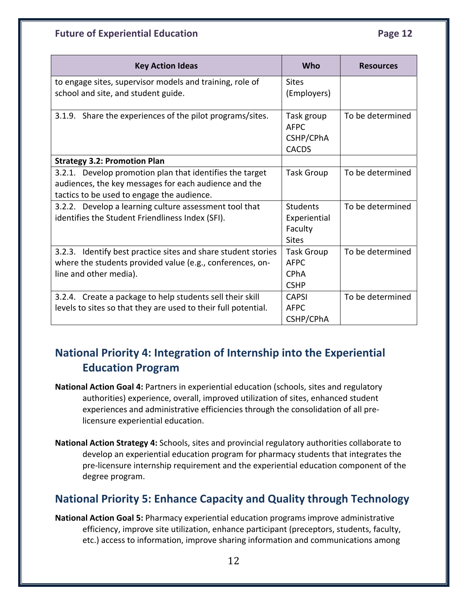| <b>Key Action Ideas</b>                                                                                                                                         | Who                                                            | <b>Resources</b> |
|-----------------------------------------------------------------------------------------------------------------------------------------------------------------|----------------------------------------------------------------|------------------|
| to engage sites, supervisor models and training, role of<br>school and site, and student guide.                                                                 | <b>Sites</b><br>(Employers)                                    |                  |
| 3.1.9. Share the experiences of the pilot programs/sites.                                                                                                       | Task group<br><b>AFPC</b><br>CSHP/CPhA<br><b>CACDS</b>         | To be determined |
| <b>Strategy 3.2: Promotion Plan</b>                                                                                                                             |                                                                |                  |
| 3.2.1. Develop promotion plan that identifies the target<br>audiences, the key messages for each audience and the<br>tactics to be used to engage the audience. | <b>Task Group</b>                                              | To be determined |
| 3.2.2. Develop a learning culture assessment tool that<br>identifies the Student Friendliness Index (SFI).                                                      | <b>Students</b><br>Experiential<br>Faculty<br><b>Sites</b>     | To be determined |
| 3.2.3. Identify best practice sites and share student stories<br>where the students provided value (e.g., conferences, on-<br>line and other media).            | <b>Task Group</b><br><b>AFPC</b><br><b>CPhA</b><br><b>CSHP</b> | To be determined |
| 3.2.4. Create a package to help students sell their skill<br>levels to sites so that they are used to their full potential.                                     | <b>CAPSI</b><br><b>AFPC</b><br>CSHP/CPhA                       | To be determined |

# **National Priority 4: Integration of Internship into the Experiential Education Program**

- **National Action Goal 4:** Partners in experiential education (schools, sites and regulatory authorities) experience, overall, improved utilization of sites, enhanced student experiences and administrative efficiencies through the consolidation of all pre‐ licensure experiential education.
- **National Action Strategy 4:** Schools, sites and provincial regulatory authorities collaborate to develop an experiential education program for pharmacy students that integrates the pre‐licensure internship requirement and the experiential education component of the degree program.

# **National Priority 5: Enhance Capacity and Quality through Technology**

**National Action Goal 5:** Pharmacy experiential education programs improve administrative efficiency, improve site utilization, enhance participant (preceptors, students, faculty, etc.) access to information, improve sharing information and communications among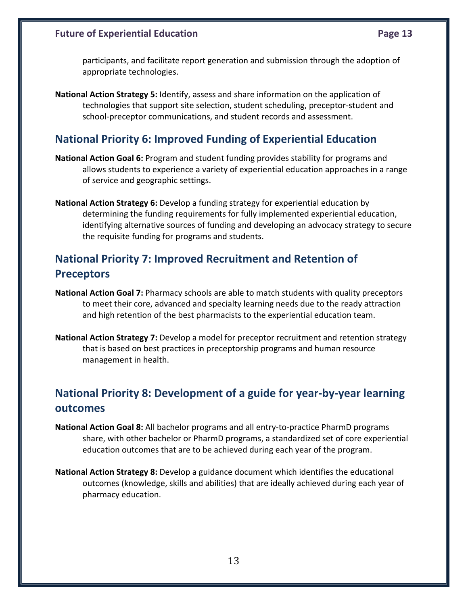**National Action Strategy 5:** Identify, assess and share information on the application of technologies that support site selection, student scheduling, preceptor‐student and school-preceptor communications, and student records and assessment.

# **National Priority 6: Improved Funding of Experiential Education**

- **National Action Goal 6:** Program and student funding provides stability for programs and allows students to experience a variety of experiential education approaches in a range of service and geographic settings.
- **National Action Strategy 6:** Develop a funding strategy for experiential education by determining the funding requirements for fully implemented experiential education, identifying alternative sources of funding and developing an advocacy strategy to secure the requisite funding for programs and students.

# **National Priority 7: Improved Recruitment and Retention of Preceptors**

- **National Action Goal 7:** Pharmacy schools are able to match students with quality preceptors to meet their core, advanced and specialty learning needs due to the ready attraction and high retention of the best pharmacists to the experiential education team.
- **National Action Strategy 7:** Develop a model for preceptor recruitment and retention strategy that is based on best practices in preceptorship programs and human resource management in health.

# **National Priority 8: Development of a guide for year‐by‐year learning outcomes**

- **National Action Goal 8:** All bachelor programs and all entry‐to‐practice PharmD programs share, with other bachelor or PharmD programs, a standardized set of core experiential education outcomes that are to be achieved during each year of the program.
- **National Action Strategy 8:** Develop a guidance document which identifies the educational outcomes (knowledge, skills and abilities) that are ideally achieved during each year of pharmacy education.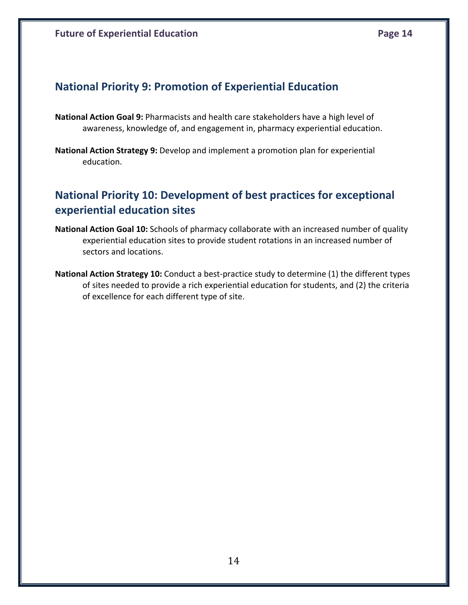# **National Priority 9: Promotion of Experiential Education**

- **National Action Goal 9:** Pharmacists and health care stakeholders have a high level of awareness, knowledge of, and engagement in, pharmacy experiential education.
- **National Action Strategy 9:** Develop and implement a promotion plan for experiential education.

# **National Priority 10: Development of best practices for exceptional experiential education sites**

- **National Action Goal 10:** Schools of pharmacy collaborate with an increased number of quality experiential education sites to provide student rotations in an increased number of sectors and locations.
- **National Action Strategy 10:** Conduct a best‐practice study to determine (1) the different types of sites needed to provide a rich experiential education for students, and (2) the criteria of excellence for each different type of site.